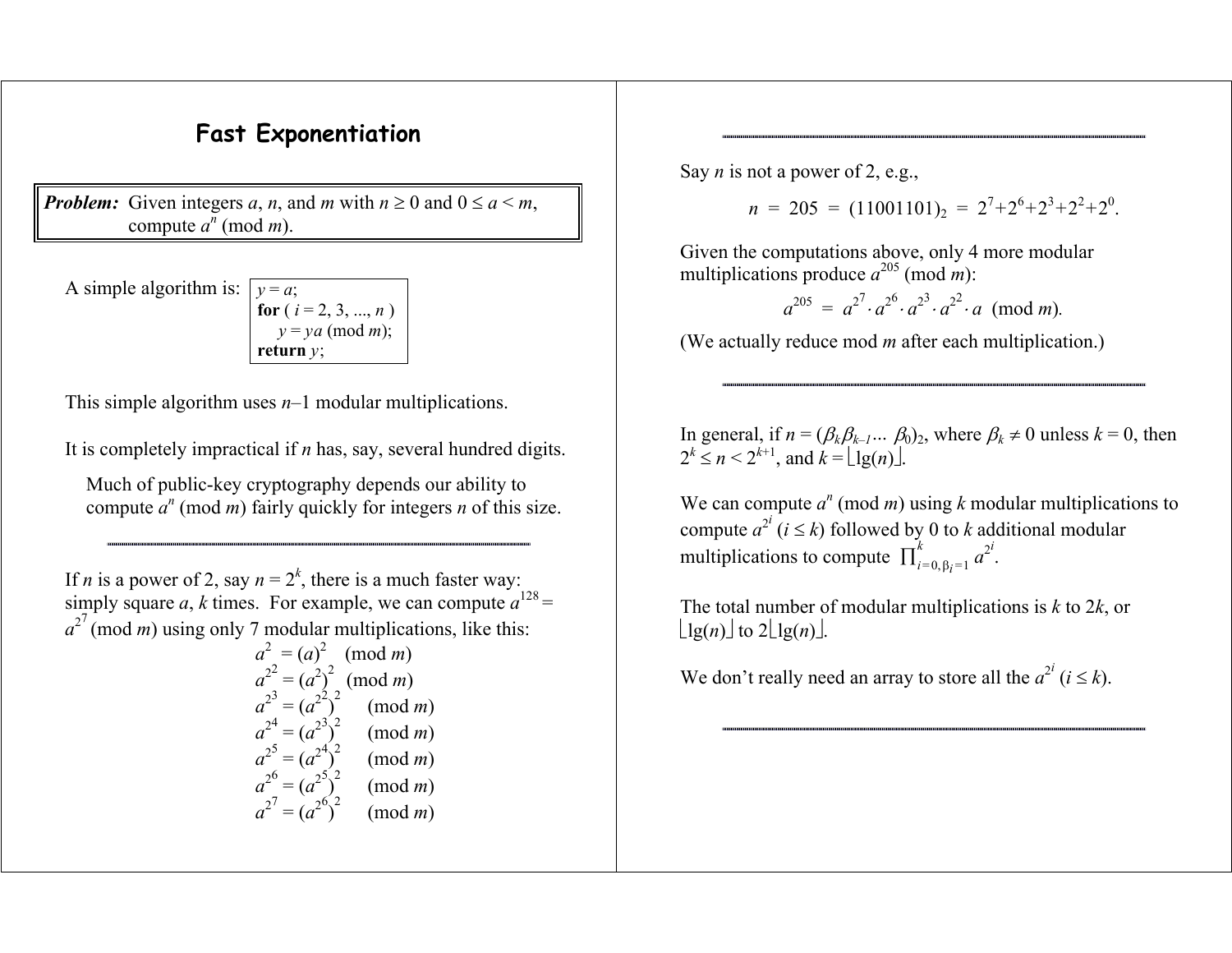## **Fast Exponentiation**

*Problem:* Given integers *a*, *n*, and *m* with  $n \ge 0$  and  $0 \le a \le m$ , compute  $a^n \pmod{m}$ .

A simple algorithm is:

*y* <sup>=</sup> *a*; **for** ( *i* = 2, 3, ..., *<sup>n</sup>* ) *y* <sup>=</sup>*ya* (mod *<sup>m</sup>*); **return** *y*;

This simple algorithm uses *<sup>n</sup>*–1 modular multiplications.

It is completely impractical if *<sup>n</sup>* has, say, several hundred digits.

Much of public-key cryptography depends our ability to compute  $a^n$  (mod *m*) fairly quickly for integers *n* of this size.

If *n* is a power of 2, say  $n = 2^k$ , there is a much faster way: simply square a, k times. For example, we can compute  $a^{128}$  =  $a^{27}$  (mod *m*) using only 7 modular multiplications, like this:

$$
a2 = (a)2 \pmod{m}
$$
  
\n
$$
a22 = (a2)2 \pmod{m}
$$
  
\n
$$
a23 = (a2)2 \pmod{m}
$$
  
\n
$$
a24 = (a2)2 \pmod{m}
$$
  
\n
$$
a25 = (a2)2 \pmod{m}
$$
  
\n
$$
a26 = (a2)2 \pmod{m}
$$
  
\n
$$
a27 = (a2)2 \pmod{m}
$$

Say *n* is not a power of 2, e.g.,

 $n = 205 = (11001101)$ <sub>2</sub> =  $2^7 + 2^6 + 2^3 + 2^2 + 2^0$ .

Given the computations above, only 4 more modular multiplications produce  $a^{205}$  (mod *m*):

$$
a^{205} = a^{27} \cdot a^{26} \cdot a^{23} \cdot a^{22} \cdot a \pmod{m}.
$$

(We actually reduce mod *<sup>m</sup>* after each multiplication.)

In general, if  $n = (\beta_k \beta_{k-1} ... \beta_0)_2$ , where  $\beta_k \neq 0$  unless  $k = 0$ , then  $2^k \le n < 2^{k+1}$ , and  $k = \lfloor \lg(n) \rfloor$ .

We can compute  $a^n \pmod{m}$  using k modular multiplications to compute  $a^{2^i}$  ( $i \leq k$ ) followed by 0 to k additional modular multiplications to compute  $\prod_{i=0, \beta_i=1}^k a^{2^i}$ .

The total number of modular multiplications is *k* to 2 *k*, or  $\lfloor \lg(n) \rfloor$  to  $2\lfloor \lg(n) \rfloor$ .

We don't really need an array to store all the  $a^{2^i}$  ( $i \leq k$ ).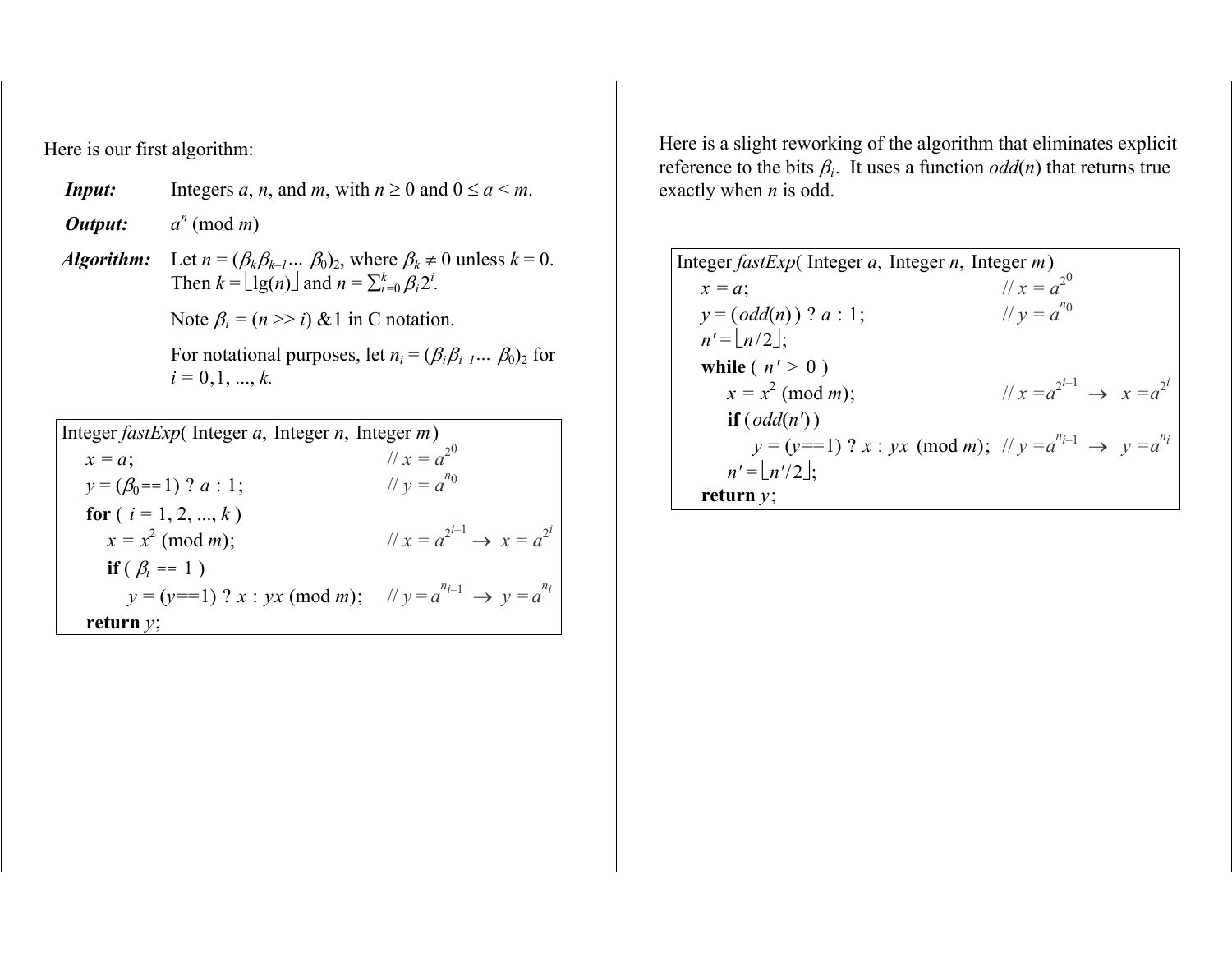Here is our first algorithm:

| <i>Input:</i>                                       | Integers a, n, and m, with $n \ge 0$ and $0 \le a \le m$ .                                                                                                       |  |
|-----------------------------------------------------|------------------------------------------------------------------------------------------------------------------------------------------------------------------|--|
| Output:                                             | $a^n \pmod{m}$                                                                                                                                                   |  |
| <i>Algorithm:</i>                                   | Let $n = (\beta_k \beta_{k-l}  \beta_0)_2$ , where $\beta_k \neq 0$ unless $k = 0$ .<br>Then $k = \lfloor \lg(n) \rfloor$ and $n = \sum_{i=0}^{k} \beta_i 2^i$ . |  |
|                                                     | Note $\beta_i = (n \gg i) \& 1$ in C notation.                                                                                                                   |  |
|                                                     | For notational purposes, let $n_i = (\beta_i \beta_{i-1}  \beta_0)_2$ for<br>$i = 0, 1, , k$ .                                                                   |  |
|                                                     |                                                                                                                                                                  |  |
| Integer $fastExp$ (Integer a, Integer n, Integer m) |                                                                                                                                                                  |  |

| $\frac{1}{100}$                                                                        |                                             |
|----------------------------------------------------------------------------------------|---------------------------------------------|
| $x = a$ ;                                                                              | $1/x = a^{2^0}$                             |
| $y = (\beta_0 = 1)$ ? $a : 1$ ;                                                        | // $y = a^{n_0}$                            |
| for $(i = 1, 2, , k)$                                                                  |                                             |
| $x = x^2 \pmod{m}$ ;                                                                   | $1/x = a^{2^{i-1}} \rightarrow x = a^{2^i}$ |
| <b>if</b> ( $\beta_i = 1$ )                                                            |                                             |
| $y = (y == 1)$ ? $x : yx \pmod{m}$ ; $\forall y = a^{n_{i-1}} \rightarrow y = a^{n_i}$ |                                             |
| return $y$ ;                                                                           |                                             |

Here is a slight reworking of the algorithm that eliminates explicit reference to the bits  $\beta_i$ . It uses a function  $odd(n)$  that returns true exactly when *n* is odd.

Integer fastExp(Integer a, Integer n, Integer m)

\n
$$
x = a; \quad // x = a^{20}
$$
\n
$$
y = (odd(n)) ? a : 1; \quad // y = a^{n0}
$$
\n
$$
n' = \lfloor n/2 \rfloor;
$$
\nwhile (n' > 0)

\n
$$
x = x^{2} \pmod{m}; \quad // x = a^{2^{i-1}} \rightarrow x = a^{2^{i}}
$$
\nif (odd(n'))

\n
$$
y = (y == 1) ? x : yx \pmod{m}; \quad // y = a^{n_{i-1}} \rightarrow y = a^{n_i}
$$
\n
$$
n' = \lfloor n'/2 \rfloor;
$$
\nreturn y;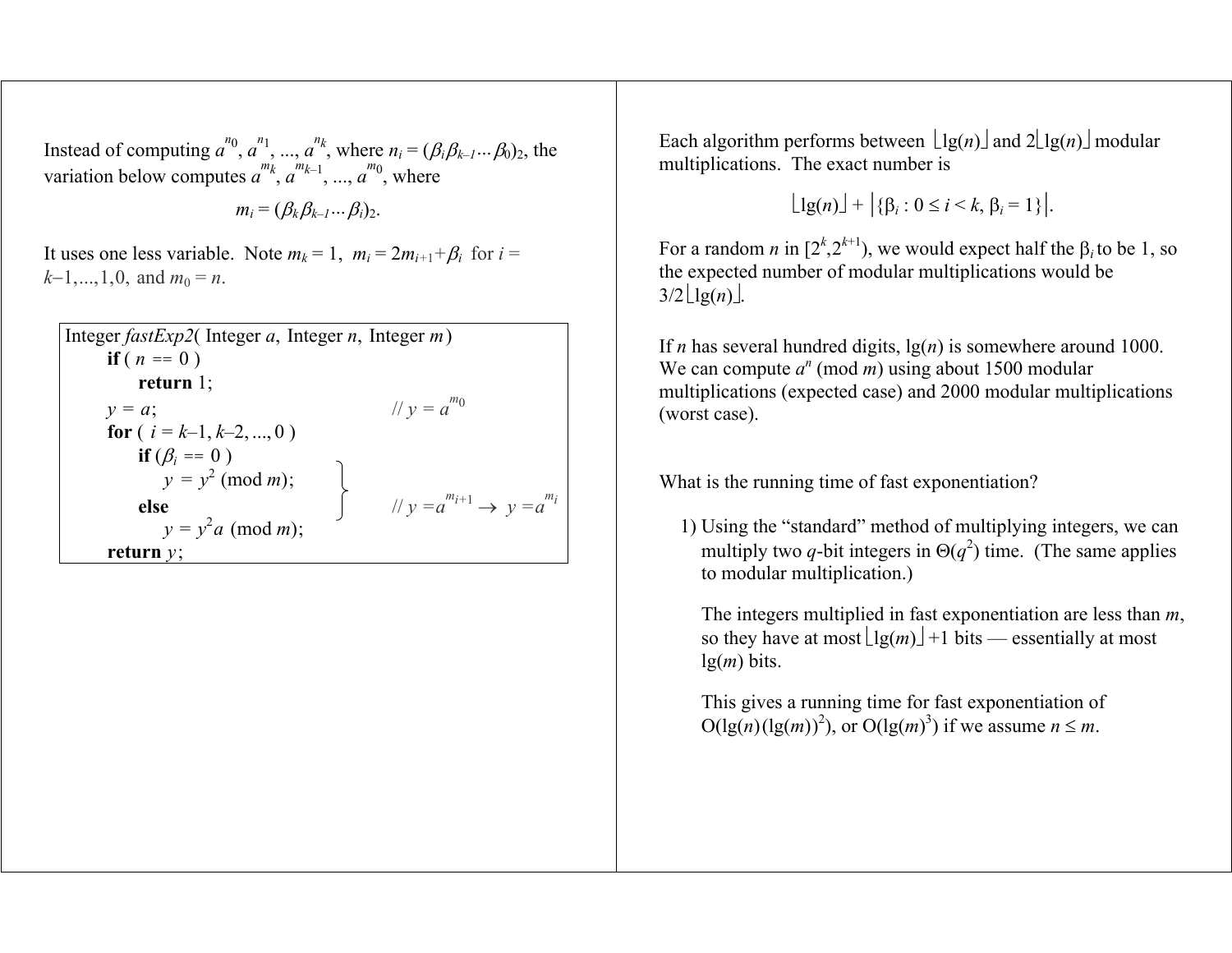Instead of computing  $a^{n_0}$ ,  $a^{n_1}$ , ...,  $a^{n_k}$ , where  $n_i = (\beta_i \beta_{k-1} \dots \beta_0)_2$ , the variation below computes  $a^{m_k}, a^{m_{k-1}}, ..., a^{m_0}$ , where

$$
m_i=(\beta_k\beta_{k-1}\dots\beta_i)_2.
$$

It uses one less variable. Note  $m_k = 1$ ,  $m_i = 2m_{i+1} + \beta_i$  for  $i =$  $k-1, \ldots, 1, 0$ , and  $m_0 = n$ .

| Integer $fastExp2$ (Integer a, Integer n, Integer m) |                                              |  |  |  |
|------------------------------------------------------|----------------------------------------------|--|--|--|
| <b>if</b> ( $n == 0$ )                               |                                              |  |  |  |
| return $1$ ;                                         |                                              |  |  |  |
| $y = a$ ;                                            | // $y = a^{m_0}$                             |  |  |  |
| for $(i = k-1, k-2, , 0)$                            |                                              |  |  |  |
| if $(\beta_i == 0)$                                  |                                              |  |  |  |
| $y = y^2 \pmod{m}$ ;                                 |                                              |  |  |  |
| else                                                 | // $v = a^{m_{i+1}} \rightarrow v = a^{m_i}$ |  |  |  |
| $y = y^2 a \pmod{m}$ ;                               |                                              |  |  |  |
| return $y$ ;                                         |                                              |  |  |  |

Each algorithm performs between  $\lfloor \lg(n) \rfloor$  and  $2\lfloor \lg(n) \rfloor$  modular multiplications. The exact number is

 $\lfloor \lg(n) \rfloor + \lfloor \{\beta_i : 0 \leq i \leq k, \beta_i = 1\} \rfloor.$ 

For a random *n* in  $[2^k, 2^{k+1})$ , we would expect half the  $\beta_i$  to be 1, so the expected number of modular multiplications would be  $3/2 \lfloor \lg(n) \rfloor$ .

If *n* has several hundred digits, lg(*n*) is somewhere around 1000. We can compute  $a^n \pmod{m}$  using about 1500 modular multiplications (expected case) and 2000 modular multiplications (worst case).

What is the running time of fast exponentiation?

1) Using the "standard" method of multiplying integers, we can multiply two *q*-bit integers in  $\Theta(q^2)$  time. (The same applies to modular multiplication.)

 The integers multiplied in fast exponentiation are less than *<sup>m</sup>*, so they have at most  $\lfloor \lg(m) \rfloor + 1$  bits — essentially at most lg(*m*) bits.

 This gives a running time for fast exponentiation of  $O(\lg(n)(\lg(m))^2)$ , or  $O(\lg(m)^3)$  if we assume  $n \leq m$ .